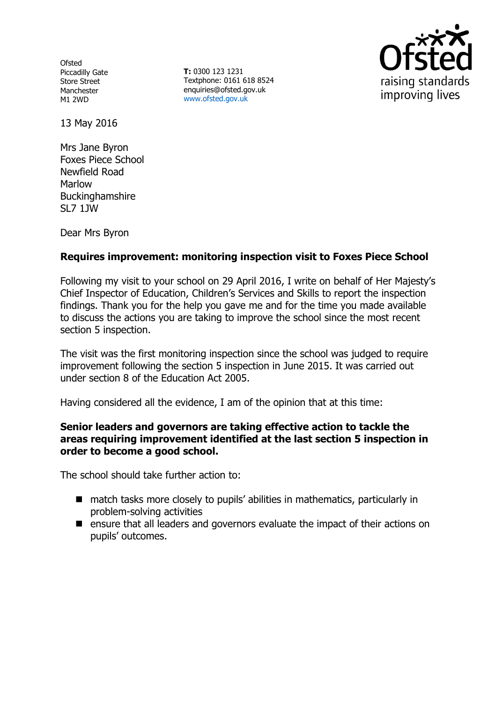**Ofsted** Piccadilly Gate Store Street Manchester M1 2WD

**T:** 0300 123 1231 Textphone: 0161 618 8524 enquiries@ofsted.gov.uk www.ofsted.gov.uk



13 May 2016

Mrs Jane Byron Foxes Piece School Newfield Road Marlow **Buckinghamshire** SL7 1JW

Dear Mrs Byron

## **Requires improvement: monitoring inspection visit to Foxes Piece School**

Following my visit to your school on 29 April 2016, I write on behalf of Her Majesty's Chief Inspector of Education, Children's Services and Skills to report the inspection findings. Thank you for the help you gave me and for the time you made available to discuss the actions you are taking to improve the school since the most recent section 5 inspection.

The visit was the first monitoring inspection since the school was judged to require improvement following the section 5 inspection in June 2015. It was carried out under section 8 of the Education Act 2005.

Having considered all the evidence, I am of the opinion that at this time:

#### **Senior leaders and governors are taking effective action to tackle the areas requiring improvement identified at the last section 5 inspection in order to become a good school.**

The school should take further action to:

- match tasks more closely to pupils' abilities in mathematics, particularly in problem-solving activities
- ensure that all leaders and governors evaluate the impact of their actions on pupils' outcomes.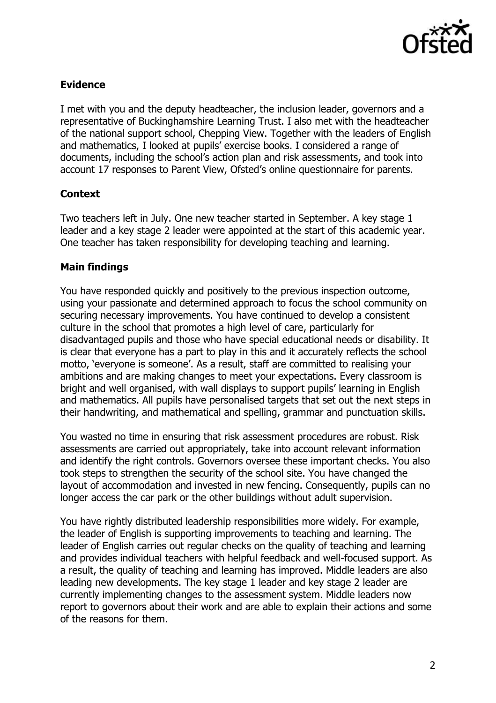

# **Evidence**

I met with you and the deputy headteacher, the inclusion leader, governors and a representative of Buckinghamshire Learning Trust. I also met with the headteacher of the national support school, Chepping View. Together with the leaders of English and mathematics, I looked at pupils' exercise books. I considered a range of documents, including the school's action plan and risk assessments, and took into account 17 responses to Parent View, Ofsted's online questionnaire for parents.

#### **Context**

Two teachers left in July. One new teacher started in September. A key stage 1 leader and a key stage 2 leader were appointed at the start of this academic year. One teacher has taken responsibility for developing teaching and learning.

## **Main findings**

You have responded quickly and positively to the previous inspection outcome, using your passionate and determined approach to focus the school community on securing necessary improvements. You have continued to develop a consistent culture in the school that promotes a high level of care, particularly for disadvantaged pupils and those who have special educational needs or disability. It is clear that everyone has a part to play in this and it accurately reflects the school motto, 'everyone is someone'. As a result, staff are committed to realising your ambitions and are making changes to meet your expectations. Every classroom is bright and well organised, with wall displays to support pupils' learning in English and mathematics. All pupils have personalised targets that set out the next steps in their handwriting, and mathematical and spelling, grammar and punctuation skills.

You wasted no time in ensuring that risk assessment procedures are robust. Risk assessments are carried out appropriately, take into account relevant information and identify the right controls. Governors oversee these important checks. You also took steps to strengthen the security of the school site. You have changed the layout of accommodation and invested in new fencing. Consequently, pupils can no longer access the car park or the other buildings without adult supervision.

You have rightly distributed leadership responsibilities more widely. For example, the leader of English is supporting improvements to teaching and learning. The leader of English carries out regular checks on the quality of teaching and learning and provides individual teachers with helpful feedback and well-focused support. As a result, the quality of teaching and learning has improved. Middle leaders are also leading new developments. The key stage 1 leader and key stage 2 leader are currently implementing changes to the assessment system. Middle leaders now report to governors about their work and are able to explain their actions and some of the reasons for them.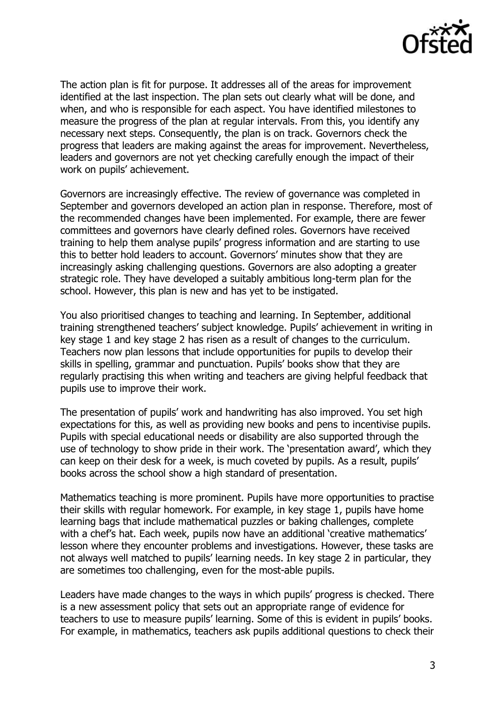

The action plan is fit for purpose. It addresses all of the areas for improvement identified at the last inspection. The plan sets out clearly what will be done, and when, and who is responsible for each aspect. You have identified milestones to measure the progress of the plan at regular intervals. From this, you identify any necessary next steps. Consequently, the plan is on track. Governors check the progress that leaders are making against the areas for improvement. Nevertheless, leaders and governors are not yet checking carefully enough the impact of their work on pupils' achievement.

Governors are increasingly effective. The review of governance was completed in September and governors developed an action plan in response. Therefore, most of the recommended changes have been implemented. For example, there are fewer committees and governors have clearly defined roles. Governors have received training to help them analyse pupils' progress information and are starting to use this to better hold leaders to account. Governors' minutes show that they are increasingly asking challenging questions. Governors are also adopting a greater strategic role. They have developed a suitably ambitious long-term plan for the school. However, this plan is new and has yet to be instigated.

You also prioritised changes to teaching and learning. In September, additional training strengthened teachers' subject knowledge. Pupils' achievement in writing in key stage 1 and key stage 2 has risen as a result of changes to the curriculum. Teachers now plan lessons that include opportunities for pupils to develop their skills in spelling, grammar and punctuation. Pupils' books show that they are regularly practising this when writing and teachers are giving helpful feedback that pupils use to improve their work.

The presentation of pupils' work and handwriting has also improved. You set high expectations for this, as well as providing new books and pens to incentivise pupils. Pupils with special educational needs or disability are also supported through the use of technology to show pride in their work. The 'presentation award', which they can keep on their desk for a week, is much coveted by pupils. As a result, pupils' books across the school show a high standard of presentation.

Mathematics teaching is more prominent. Pupils have more opportunities to practise their skills with regular homework. For example, in key stage 1, pupils have home learning bags that include mathematical puzzles or baking challenges, complete with a chef's hat. Each week, pupils now have an additional 'creative mathematics' lesson where they encounter problems and investigations. However, these tasks are not always well matched to pupils' learning needs. In key stage 2 in particular, they are sometimes too challenging, even for the most-able pupils.

Leaders have made changes to the ways in which pupils' progress is checked. There is a new assessment policy that sets out an appropriate range of evidence for teachers to use to measure pupils' learning. Some of this is evident in pupils' books. For example, in mathematics, teachers ask pupils additional questions to check their